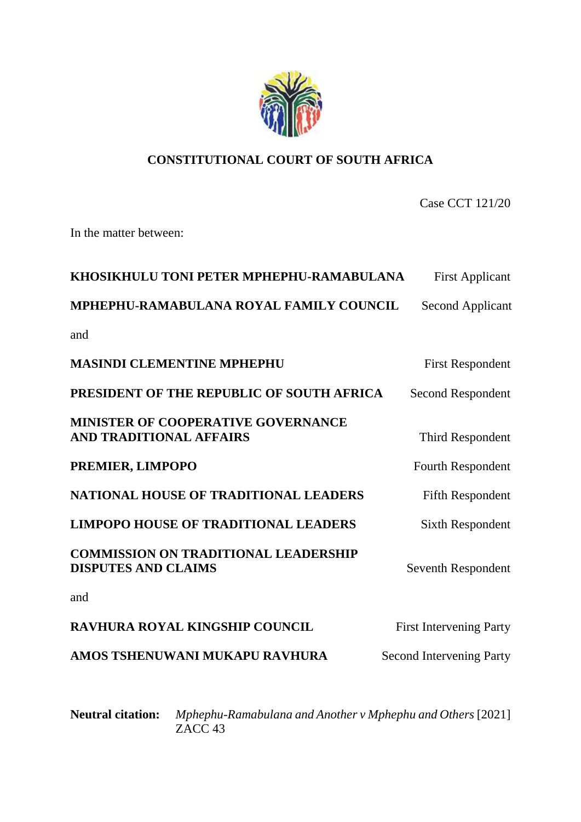

# **CONSTITUTIONAL COURT OF SOUTH AFRICA**

Case CCT 121/20

In the matter between:

| KHOSIKHULU TONI PETER MPHEPHU-RAMABULANA                                    | <b>First Applicant</b>          |
|-----------------------------------------------------------------------------|---------------------------------|
| MPHEPHU-RAMABULANA ROYAL FAMILY COUNCIL                                     | <b>Second Applicant</b>         |
| and                                                                         |                                 |
| <b>MASINDI CLEMENTINE MPHEPHU</b>                                           | <b>First Respondent</b>         |
| PRESIDENT OF THE REPUBLIC OF SOUTH AFRICA                                   | Second Respondent               |
| <b>MINISTER OF COOPERATIVE GOVERNANCE</b><br><b>AND TRADITIONAL AFFAIRS</b> | Third Respondent                |
| PREMIER, LIMPOPO                                                            | <b>Fourth Respondent</b>        |
| <b>NATIONAL HOUSE OF TRADITIONAL LEADERS</b>                                | <b>Fifth Respondent</b>         |
| <b>LIMPOPO HOUSE OF TRADITIONAL LEADERS</b>                                 | <b>Sixth Respondent</b>         |
| <b>COMMISSION ON TRADITIONAL LEADERSHIP</b><br><b>DISPUTES AND CLAIMS</b>   | Seventh Respondent              |
| and                                                                         |                                 |
| <b>RAVHURA ROYAL KINGSHIP COUNCIL</b>                                       | <b>First Intervening Party</b>  |
| AMOS TSHENUWANI MUKAPU RAVHURA                                              | <b>Second Intervening Party</b> |
|                                                                             |                                 |
|                                                                             |                                 |

**Neutral citation:** *Mphephu-Ramabulana and Another v Mphephu and Others* [2021] ZACC 43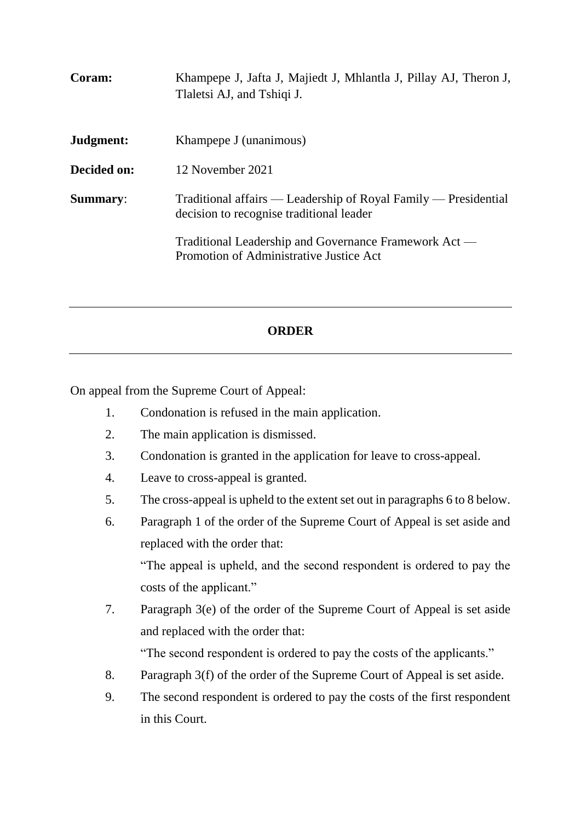| Coram:          | Khampepe J, Jafta J, Majiedt J, Mhlantla J, Pillay AJ, Theron J,<br>Tlaletsi AJ, and Tshiqi J.              |
|-----------------|-------------------------------------------------------------------------------------------------------------|
| Judgment:       | Khampepe J (unanimous)                                                                                      |
| Decided on:     | 12 November 2021                                                                                            |
| <b>Summary:</b> | Traditional affairs — Leadership of Royal Family — Presidential<br>decision to recognise traditional leader |
|                 | Traditional Leadership and Governance Framework Act —<br>Promotion of Administrative Justice Act            |

# **ORDER**

On appeal from the Supreme Court of Appeal:

- 1. Condonation is refused in the main application.
- 2. The main application is dismissed.
- 3. Condonation is granted in the application for leave to cross-appeal.
- 4. Leave to cross-appeal is granted.
- 5. The cross-appeal is upheld to the extent set out in paragraphs 6 to 8 below.
- 6. Paragraph 1 of the order of the Supreme Court of Appeal is set aside and replaced with the order that:

"The appeal is upheld, and the second respondent is ordered to pay the costs of the applicant."

7. Paragraph 3(e) of the order of the Supreme Court of Appeal is set aside and replaced with the order that:

"The second respondent is ordered to pay the costs of the applicants."

- 8. Paragraph 3(f) of the order of the Supreme Court of Appeal is set aside.
- 9. The second respondent is ordered to pay the costs of the first respondent in this Court.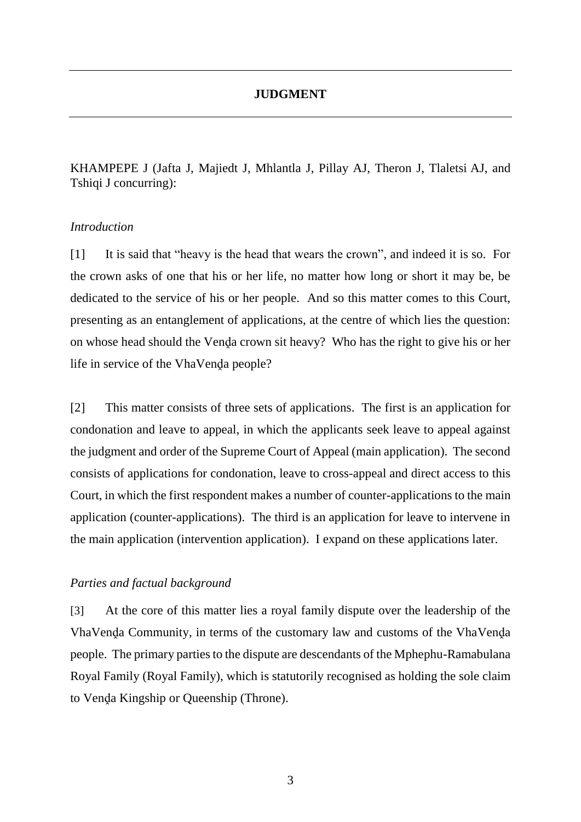# **JUDGMENT**

KHAMPEPE J (Jafta J, Majiedt J, Mhlantla J, Pillay AJ, Theron J, Tlaletsi AJ, and Tshiqi J concurring):

## *Introduction*

[1] It is said that "heavy is the head that wears the crown", and indeed it is so. For the crown asks of one that his or her life, no matter how long or short it may be, be dedicated to the service of his or her people. And so this matter comes to this Court, presenting as an entanglement of applications, at the centre of which lies the question: on whose head should the Venda crown sit heavy? Who has the right to give his or her life in service of the VhaVenda people?

[2] This matter consists of three sets of applications. The first is an application for condonation and leave to appeal, in which the applicants seek leave to appeal against the judgment and order of the Supreme Court of Appeal (main application). The second consists of applications for condonation, leave to cross-appeal and direct access to this Court, in which the first respondent makes a number of counter-applications to the main application (counter-applications). The third is an application for leave to intervene in the main application (intervention application). I expand on these applications later.

## *Parties and factual background*

[3] At the core of this matter lies a royal family dispute over the leadership of the VhaVenḓa Community, in terms of the customary law and customs of the VhaVenḓa people. The primary parties to the dispute are descendants of the Mphephu-Ramabulana Royal Family (Royal Family), which is statutorily recognised as holding the sole claim to Venḓa Kingship or Queenship (Throne).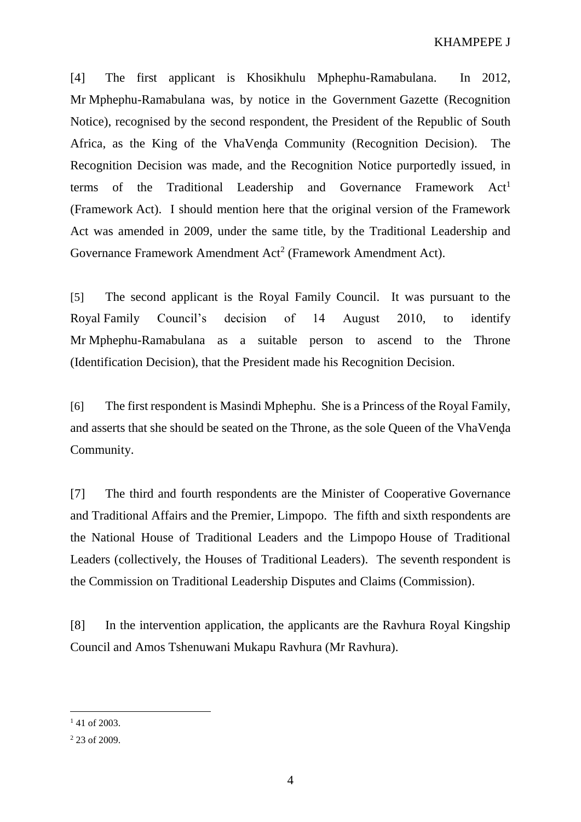[4] The first applicant is Khosikhulu Mphephu-Ramabulana. In 2012, Mr Mphephu-Ramabulana was, by notice in the Government Gazette (Recognition Notice), recognised by the second respondent, the President of the Republic of South Africa, as the King of the VhaVenda Community (Recognition Decision). The Recognition Decision was made, and the Recognition Notice purportedly issued, in terms of the Traditional Leadership and Governance Framework  $Act<sup>1</sup>$ (Framework Act). I should mention here that the original version of the Framework Act was amended in 2009, under the same title, by the Traditional Leadership and Governance Framework Amendment Act<sup>2</sup> (Framework Amendment Act).

[5] The second applicant is the Royal Family Council. It was pursuant to the Royal Family Council's decision of 14 August 2010, to identify Mr Mphephu-Ramabulana as a suitable person to ascend to the Throne (Identification Decision), that the President made his Recognition Decision.

[6] The first respondent is Masindi Mphephu. She is a Princess of the Royal Family, and asserts that she should be seated on the Throne, as the sole Queen of the VhaVenda Community.

[7] The third and fourth respondents are the Minister of Cooperative Governance and Traditional Affairs and the Premier, Limpopo. The fifth and sixth respondents are the National House of Traditional Leaders and the Limpopo House of Traditional Leaders (collectively, the Houses of Traditional Leaders). The seventh respondent is the Commission on Traditional Leadership Disputes and Claims (Commission).

[8] In the intervention application, the applicants are the Ravhura Royal Kingship Council and Amos Tshenuwani Mukapu Ravhura (Mr Ravhura).

 $141$  of 2003.

<sup>&</sup>lt;sup>2</sup> 23 of 2009.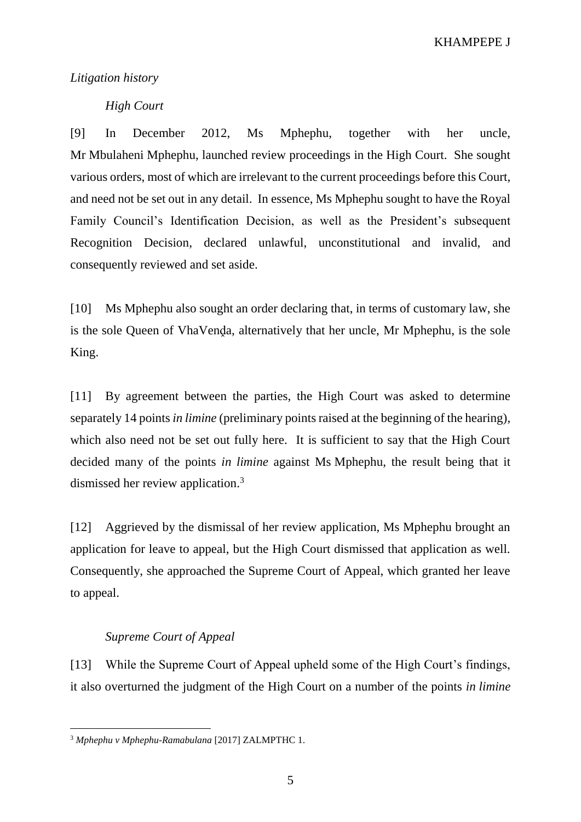KHAMPEPE J

#### *Litigation history*

## *High Court*

[9] In December 2012, Ms Mphephu, together with her uncle, Mr Mbulaheni Mphephu, launched review proceedings in the High Court. She sought various orders, most of which are irrelevant to the current proceedings before this Court, and need not be set out in any detail. In essence, Ms Mphephu sought to have the Royal Family Council's Identification Decision, as well as the President's subsequent Recognition Decision, declared unlawful, unconstitutional and invalid, and consequently reviewed and set aside.

[10] Ms Mphephu also sought an order declaring that, in terms of customary law, she is the sole Queen of VhaVenda, alternatively that her uncle, Mr Mphephu, is the sole King.

[11] By agreement between the parties, the High Court was asked to determine separately 14 points *in limine* (preliminary points raised at the beginning of the hearing), which also need not be set out fully here. It is sufficient to say that the High Court decided many of the points *in limine* against Ms Mphephu, the result being that it dismissed her review application.<sup>3</sup>

[12] Aggrieved by the dismissal of her review application, Ms Mphephu brought an application for leave to appeal, but the High Court dismissed that application as well. Consequently, she approached the Supreme Court of Appeal, which granted her leave to appeal.

### *Supreme Court of Appeal*

 $\overline{a}$ 

[13] While the Supreme Court of Appeal upheld some of the High Court's findings, it also overturned the judgment of the High Court on a number of the points *in limine*

<sup>3</sup> *Mphephu v Mphephu-Ramabulana* [2017] ZALMPTHC 1.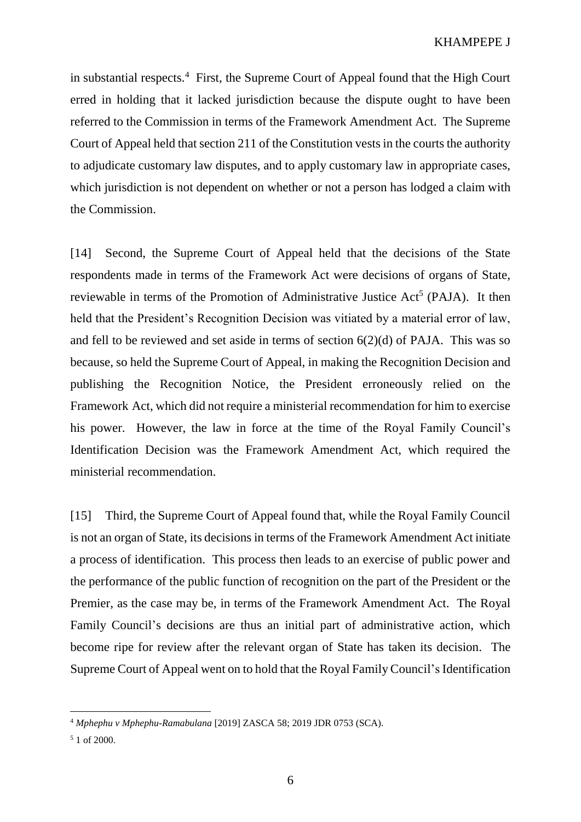in substantial respects.<sup>4</sup> First, the Supreme Court of Appeal found that the High Court erred in holding that it lacked jurisdiction because the dispute ought to have been referred to the Commission in terms of the Framework Amendment Act. The Supreme Court of Appeal held that section 211 of the Constitution vests in the courts the authority to adjudicate customary law disputes, and to apply customary law in appropriate cases, which jurisdiction is not dependent on whether or not a person has lodged a claim with the Commission.

[14] Second, the Supreme Court of Appeal held that the decisions of the State respondents made in terms of the Framework Act were decisions of organs of State, reviewable in terms of the Promotion of Administrative Justice Act<sup>5</sup> (PAJA). It then held that the President's Recognition Decision was vitiated by a material error of law, and fell to be reviewed and set aside in terms of section 6(2)(d) of PAJA. This was so because, so held the Supreme Court of Appeal, in making the Recognition Decision and publishing the Recognition Notice, the President erroneously relied on the Framework Act, which did not require a ministerial recommendation for him to exercise his power. However, the law in force at the time of the Royal Family Council's Identification Decision was the Framework Amendment Act, which required the ministerial recommendation.

[15] Third, the Supreme Court of Appeal found that, while the Royal Family Council is not an organ of State, its decisions in terms of the Framework Amendment Act initiate a process of identification. This process then leads to an exercise of public power and the performance of the public function of recognition on the part of the President or the Premier, as the case may be, in terms of the Framework Amendment Act. The Royal Family Council's decisions are thus an initial part of administrative action, which become ripe for review after the relevant organ of State has taken its decision. The Supreme Court of Appeal went on to hold that the Royal Family Council's Identification

<sup>4</sup> *Mphephu v Mphephu-Ramabulana* [2019] ZASCA 58; 2019 JDR 0753 (SCA).

<sup>5</sup> 1 of 2000.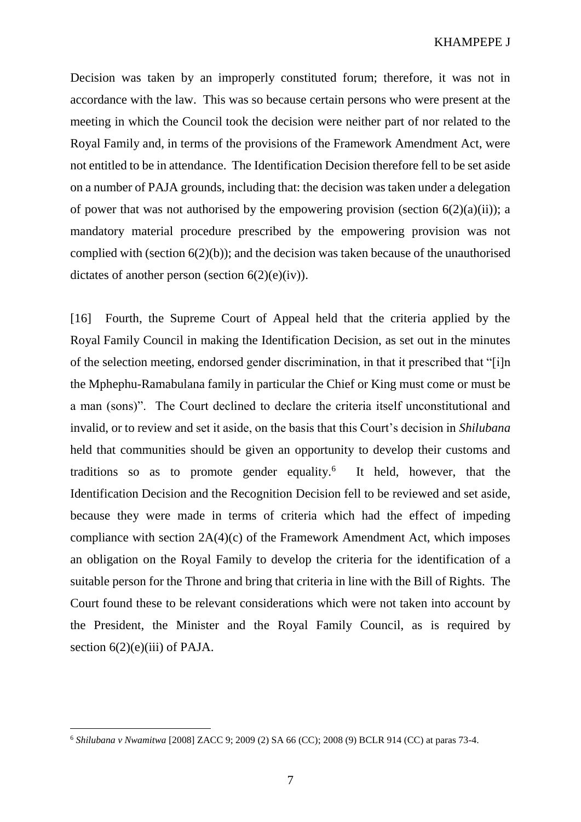Decision was taken by an improperly constituted forum; therefore, it was not in accordance with the law. This was so because certain persons who were present at the meeting in which the Council took the decision were neither part of nor related to the Royal Family and, in terms of the provisions of the Framework Amendment Act, were not entitled to be in attendance. The Identification Decision therefore fell to be set aside on a number of PAJA grounds, including that: the decision was taken under a delegation of power that was not authorised by the empowering provision (section  $6(2)(a)(ii)$ ); a mandatory material procedure prescribed by the empowering provision was not complied with (section 6(2)(b)); and the decision was taken because of the unauthorised dictates of another person (section  $6(2)(e)(iv)$ ).

[16] Fourth, the Supreme Court of Appeal held that the criteria applied by the Royal Family Council in making the Identification Decision, as set out in the minutes of the selection meeting, endorsed gender discrimination, in that it prescribed that "[i]n the Mphephu-Ramabulana family in particular the Chief or King must come or must be a man (sons)". The Court declined to declare the criteria itself unconstitutional and invalid, or to review and set it aside, on the basis that this Court's decision in *Shilubana*  held that communities should be given an opportunity to develop their customs and traditions so as to promote gender equality.<sup>6</sup> It held, however, that the Identification Decision and the Recognition Decision fell to be reviewed and set aside, because they were made in terms of criteria which had the effect of impeding compliance with section 2A(4)(c) of the Framework Amendment Act, which imposes an obligation on the Royal Family to develop the criteria for the identification of a suitable person for the Throne and bring that criteria in line with the Bill of Rights. The Court found these to be relevant considerations which were not taken into account by the President, the Minister and the Royal Family Council, as is required by section  $6(2)(e)(iii)$  of PAJA.

<sup>6</sup> *Shilubana v Nwamitwa* [2008] ZACC 9; 2009 (2) SA 66 (CC); 2008 (9) BCLR 914 (CC) at paras 73-4.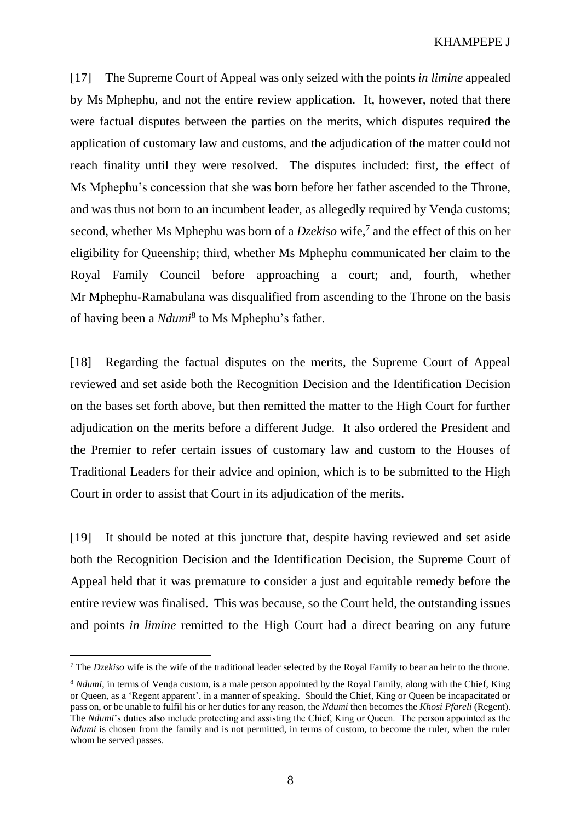[17] The Supreme Court of Appeal was only seized with the points *in limine* appealed by Ms Mphephu, and not the entire review application. It, however, noted that there were factual disputes between the parties on the merits, which disputes required the application of customary law and customs, and the adjudication of the matter could not reach finality until they were resolved. The disputes included: first, the effect of Ms Mphephu's concession that she was born before her father ascended to the Throne, and was thus not born to an incumbent leader, as allegedly required by Venda customs; second, whether Ms Mphephu was born of a *Dzekiso* wife,<sup>7</sup> and the effect of this on her eligibility for Queenship; third, whether Ms Mphephu communicated her claim to the Royal Family Council before approaching a court; and, fourth, whether Mr Mphephu-Ramabulana was disqualified from ascending to the Throne on the basis of having been a *Ndumi*<sup>8</sup> to Ms Mphephu's father.

[18] Regarding the factual disputes on the merits, the Supreme Court of Appeal reviewed and set aside both the Recognition Decision and the Identification Decision on the bases set forth above, but then remitted the matter to the High Court for further adjudication on the merits before a different Judge. It also ordered the President and the Premier to refer certain issues of customary law and custom to the Houses of Traditional Leaders for their advice and opinion, which is to be submitted to the High Court in order to assist that Court in its adjudication of the merits.

[19] It should be noted at this juncture that, despite having reviewed and set aside both the Recognition Decision and the Identification Decision, the Supreme Court of Appeal held that it was premature to consider a just and equitable remedy before the entire review was finalised. This was because, so the Court held, the outstanding issues and points *in limine* remitted to the High Court had a direct bearing on any future

<sup>7</sup> The *Dzekiso* wife is the wife of the traditional leader selected by the Royal Family to bear an heir to the throne.

<sup>&</sup>lt;sup>8</sup> *Ndumi*, in terms of Venḍa custom, is a male person appointed by the Royal Family, along with the Chief, King or Queen, as a 'Regent apparent', in a manner of speaking. Should the Chief, King or Queen be incapacitated or pass on, or be unable to fulfil his or her duties for any reason, the *Ndumi* then becomes the *Khosi Pfareli* (Regent). The *Ndumi*'s duties also include protecting and assisting the Chief, King or Queen. The person appointed as the *Ndumi* is chosen from the family and is not permitted, in terms of custom, to become the ruler, when the ruler whom he served passes.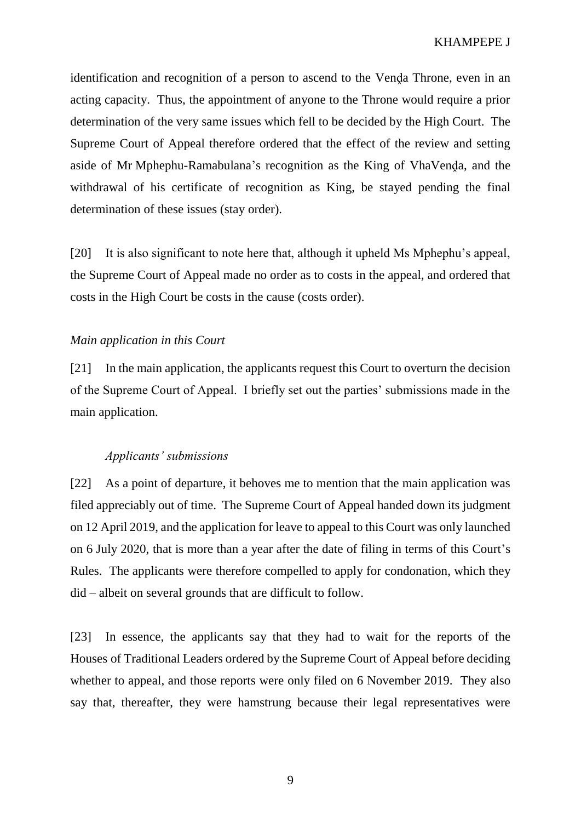identification and recognition of a person to ascend to the Venda Throne, even in an acting capacity. Thus, the appointment of anyone to the Throne would require a prior determination of the very same issues which fell to be decided by the High Court. The Supreme Court of Appeal therefore ordered that the effect of the review and setting aside of Mr Mphephu-Ramabulana's recognition as the King of VhaVenda, and the withdrawal of his certificate of recognition as King, be stayed pending the final determination of these issues (stay order).

[20] It is also significant to note here that, although it upheld Ms Mphephu's appeal, the Supreme Court of Appeal made no order as to costs in the appeal, and ordered that costs in the High Court be costs in the cause (costs order).

## *Main application in this Court*

[21] In the main application, the applicants request this Court to overturn the decision of the Supreme Court of Appeal. I briefly set out the parties' submissions made in the main application.

## *Applicants' submissions*

[22] As a point of departure, it behoves me to mention that the main application was filed appreciably out of time. The Supreme Court of Appeal handed down its judgment on 12 April 2019, and the application for leave to appeal to this Court was only launched on 6 July 2020, that is more than a year after the date of filing in terms of this Court's Rules. The applicants were therefore compelled to apply for condonation, which they did – albeit on several grounds that are difficult to follow.

[23] In essence, the applicants say that they had to wait for the reports of the Houses of Traditional Leaders ordered by the Supreme Court of Appeal before deciding whether to appeal, and those reports were only filed on 6 November 2019. They also say that, thereafter, they were hamstrung because their legal representatives were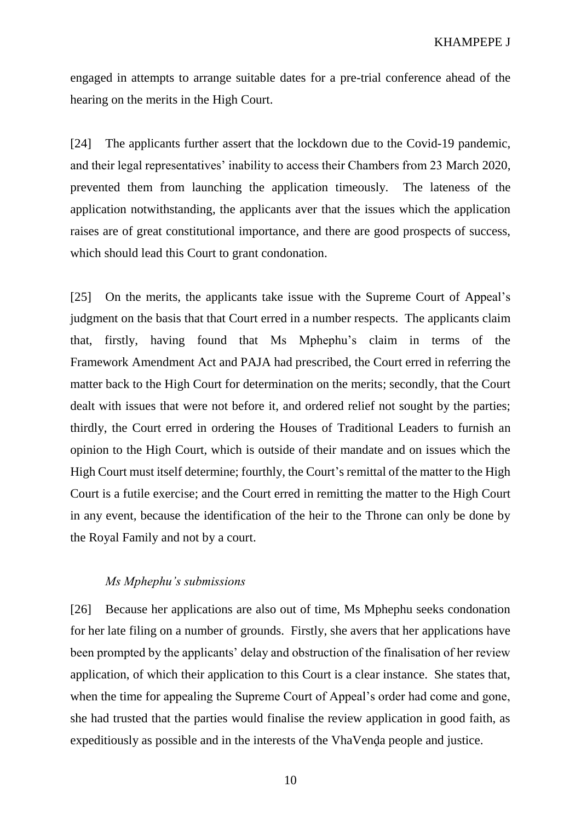engaged in attempts to arrange suitable dates for a pre-trial conference ahead of the hearing on the merits in the High Court.

[24] The applicants further assert that the lockdown due to the Covid-19 pandemic, and their legal representatives' inability to access their Chambers from 23 March 2020, prevented them from launching the application timeously. The lateness of the application notwithstanding, the applicants aver that the issues which the application raises are of great constitutional importance, and there are good prospects of success, which should lead this Court to grant condonation.

[25] On the merits, the applicants take issue with the Supreme Court of Appeal's judgment on the basis that that Court erred in a number respects. The applicants claim that, firstly, having found that Ms Mphephu's claim in terms of the Framework Amendment Act and PAJA had prescribed, the Court erred in referring the matter back to the High Court for determination on the merits; secondly, that the Court dealt with issues that were not before it, and ordered relief not sought by the parties; thirdly, the Court erred in ordering the Houses of Traditional Leaders to furnish an opinion to the High Court, which is outside of their mandate and on issues which the High Court must itself determine; fourthly, the Court's remittal of the matter to the High Court is a futile exercise; and the Court erred in remitting the matter to the High Court in any event, because the identification of the heir to the Throne can only be done by the Royal Family and not by a court.

## *Ms Mphephu's submissions*

[26] Because her applications are also out of time, Ms Mphephu seeks condonation for her late filing on a number of grounds. Firstly, she avers that her applications have been prompted by the applicants' delay and obstruction of the finalisation of her review application, of which their application to this Court is a clear instance. She states that, when the time for appealing the Supreme Court of Appeal's order had come and gone, she had trusted that the parties would finalise the review application in good faith, as expeditiously as possible and in the interests of the VhaVenda people and justice.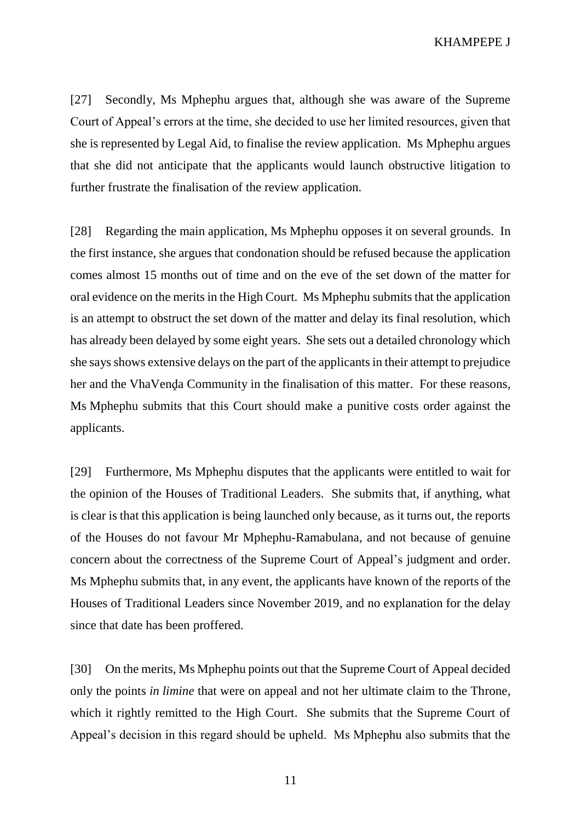KHAMPEPE J

[27] Secondly, Ms Mphephu argues that, although she was aware of the Supreme Court of Appeal's errors at the time, she decided to use her limited resources, given that she is represented by Legal Aid, to finalise the review application. Ms Mphephu argues that she did not anticipate that the applicants would launch obstructive litigation to further frustrate the finalisation of the review application.

[28] Regarding the main application, Ms Mphephu opposes it on several grounds. In the first instance, she argues that condonation should be refused because the application comes almost 15 months out of time and on the eve of the set down of the matter for oral evidence on the merits in the High Court. Ms Mphephu submits that the application is an attempt to obstruct the set down of the matter and delay its final resolution, which has already been delayed by some eight years. She sets out a detailed chronology which she says shows extensive delays on the part of the applicants in their attempt to prejudice her and the VhaVenḍa Community in the finalisation of this matter. For these reasons, Ms Mphephu submits that this Court should make a punitive costs order against the applicants.

[29] Furthermore, Ms Mphephu disputes that the applicants were entitled to wait for the opinion of the Houses of Traditional Leaders. She submits that, if anything, what is clear is that this application is being launched only because, as it turns out, the reports of the Houses do not favour Mr Mphephu-Ramabulana, and not because of genuine concern about the correctness of the Supreme Court of Appeal's judgment and order. Ms Mphephu submits that, in any event, the applicants have known of the reports of the Houses of Traditional Leaders since November 2019, and no explanation for the delay since that date has been proffered.

[30] On the merits, Ms Mphephu points out that the Supreme Court of Appeal decided only the points *in limine* that were on appeal and not her ultimate claim to the Throne, which it rightly remitted to the High Court. She submits that the Supreme Court of Appeal's decision in this regard should be upheld. Ms Mphephu also submits that the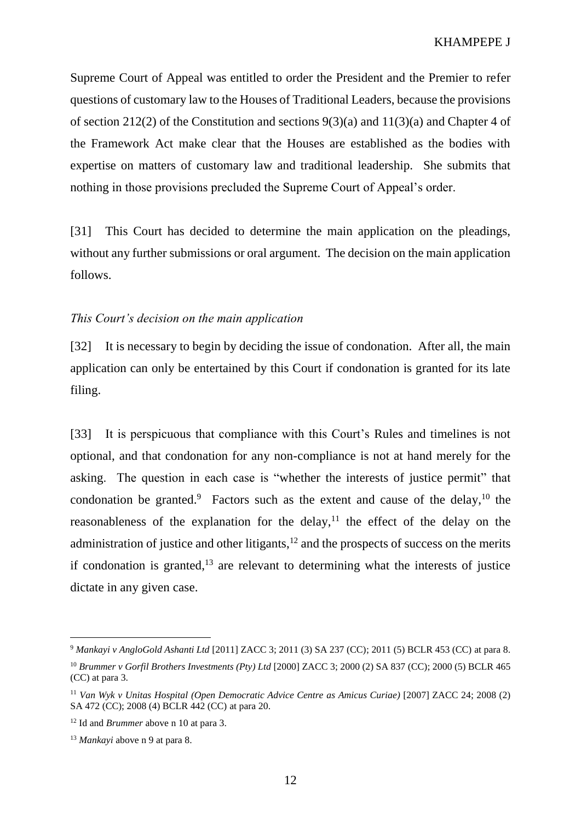Supreme Court of Appeal was entitled to order the President and the Premier to refer questions of customary law to the Houses of Traditional Leaders, because the provisions of section 212(2) of the Constitution and sections 9(3)(a) and 11(3)(a) and Chapter 4 of the Framework Act make clear that the Houses are established as the bodies with expertise on matters of customary law and traditional leadership. She submits that nothing in those provisions precluded the Supreme Court of Appeal's order.

[31] This Court has decided to determine the main application on the pleadings, without any further submissions or oral argument. The decision on the main application follows.

## *This Court's decision on the main application*

[32] It is necessary to begin by deciding the issue of condonation. After all, the main application can only be entertained by this Court if condonation is granted for its late filing.

<span id="page-11-3"></span><span id="page-11-2"></span><span id="page-11-1"></span><span id="page-11-0"></span>[33] It is perspicuous that compliance with this Court's Rules and timelines is not optional, and that condonation for any non-compliance is not at hand merely for the asking. The question in each case is "whether the interests of justice permit" that condonation be granted.<sup>9</sup> Factors such as the extent and cause of the delay,  $10$  the reasonableness of the explanation for the delay, $11$  the effect of the delay on the administration of justice and other litigants,<sup>12</sup> and the prospects of success on the merits if condonation is granted, $13$  are relevant to determining what the interests of justice dictate in any given case.

<sup>9</sup> *Mankayi v AngloGold Ashanti Ltd* [2011] ZACC 3; 2011 (3) SA 237 (CC); 2011 (5) BCLR 453 (CC) at para 8.

<sup>10</sup> *Brummer v Gorfil Brothers Investments (Pty) Ltd* [2000] ZACC 3; 2000 (2) SA 837 (CC); 2000 (5) BCLR 465 (CC) at para 3.

<sup>11</sup> *Van Wyk v Unitas Hospital (Open Democratic Advice Centre as Amicus Curiae)* [2007] ZACC 24; 2008 (2) SA 472 (CC); 2008 (4) BCLR 442 (CC) at para 20.

<sup>12</sup> Id and *Brummer* above n [10](#page-11-0) at para 3.

<sup>13</sup> *Mankayi* above n [9](#page-11-1) at para 8.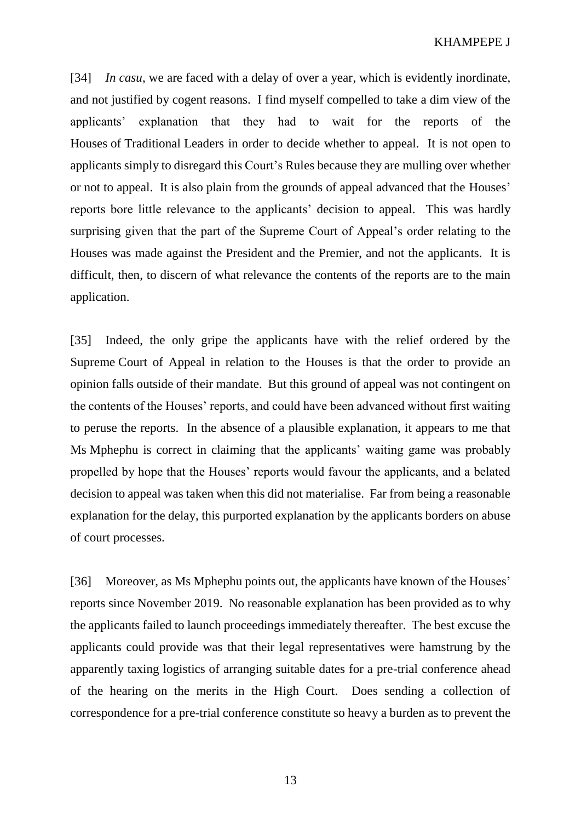KHAMPEPE J

[34] *In casu*, we are faced with a delay of over a year, which is evidently inordinate, and not justified by cogent reasons. I find myself compelled to take a dim view of the applicants' explanation that they had to wait for the reports of the Houses of Traditional Leaders in order to decide whether to appeal. It is not open to applicants simply to disregard this Court's Rules because they are mulling over whether or not to appeal. It is also plain from the grounds of appeal advanced that the Houses' reports bore little relevance to the applicants' decision to appeal. This was hardly surprising given that the part of the Supreme Court of Appeal's order relating to the Houses was made against the President and the Premier, and not the applicants. It is difficult, then, to discern of what relevance the contents of the reports are to the main application.

[35] Indeed, the only gripe the applicants have with the relief ordered by the Supreme Court of Appeal in relation to the Houses is that the order to provide an opinion falls outside of their mandate. But this ground of appeal was not contingent on the contents of the Houses' reports, and could have been advanced without first waiting to peruse the reports. In the absence of a plausible explanation, it appears to me that Ms Mphephu is correct in claiming that the applicants' waiting game was probably propelled by hope that the Houses' reports would favour the applicants, and a belated decision to appeal was taken when this did not materialise. Far from being a reasonable explanation for the delay, this purported explanation by the applicants borders on abuse of court processes.

[36] Moreover, as Ms Mphephu points out, the applicants have known of the Houses' reports since November 2019. No reasonable explanation has been provided as to why the applicants failed to launch proceedings immediately thereafter. The best excuse the applicants could provide was that their legal representatives were hamstrung by the apparently taxing logistics of arranging suitable dates for a pre-trial conference ahead of the hearing on the merits in the High Court. Does sending a collection of correspondence for a pre-trial conference constitute so heavy a burden as to prevent the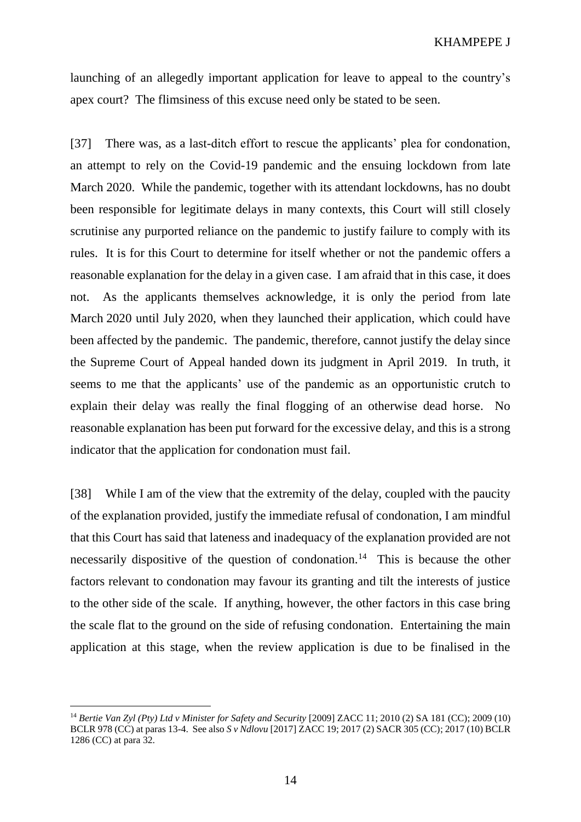launching of an allegedly important application for leave to appeal to the country's apex court? The flimsiness of this excuse need only be stated to be seen.

[37] There was, as a last-ditch effort to rescue the applicants' plea for condonation, an attempt to rely on the Covid-19 pandemic and the ensuing lockdown from late March 2020. While the pandemic, together with its attendant lockdowns, has no doubt been responsible for legitimate delays in many contexts, this Court will still closely scrutinise any purported reliance on the pandemic to justify failure to comply with its rules. It is for this Court to determine for itself whether or not the pandemic offers a reasonable explanation for the delay in a given case. I am afraid that in this case, it does not. As the applicants themselves acknowledge, it is only the period from late March 2020 until July 2020, when they launched their application, which could have been affected by the pandemic. The pandemic, therefore, cannot justify the delay since the Supreme Court of Appeal handed down its judgment in April 2019. In truth, it seems to me that the applicants' use of the pandemic as an opportunistic crutch to explain their delay was really the final flogging of an otherwise dead horse. No reasonable explanation has been put forward for the excessive delay, and this is a strong indicator that the application for condonation must fail.

[38] While I am of the view that the extremity of the delay, coupled with the paucity of the explanation provided, justify the immediate refusal of condonation, I am mindful that this Court has said that lateness and inadequacy of the explanation provided are not necessarily dispositive of the question of condonation.<sup>14</sup> This is because the other factors relevant to condonation may favour its granting and tilt the interests of justice to the other side of the scale. If anything, however, the other factors in this case bring the scale flat to the ground on the side of refusing condonation. Entertaining the main application at this stage, when the review application is due to be finalised in the

<sup>14</sup> *Bertie Van Zyl (Pty) Ltd v Minister for Safety and Security* [2009] ZACC 11; 2010 (2) SA 181 (CC); 2009 (10) BCLR 978 (CC) at paras 13-4. See also *S v Ndlovu* [2017] ZACC 19; 2017 (2) SACR 305 (CC); 2017 (10) BCLR 1286 (CC) at para 32.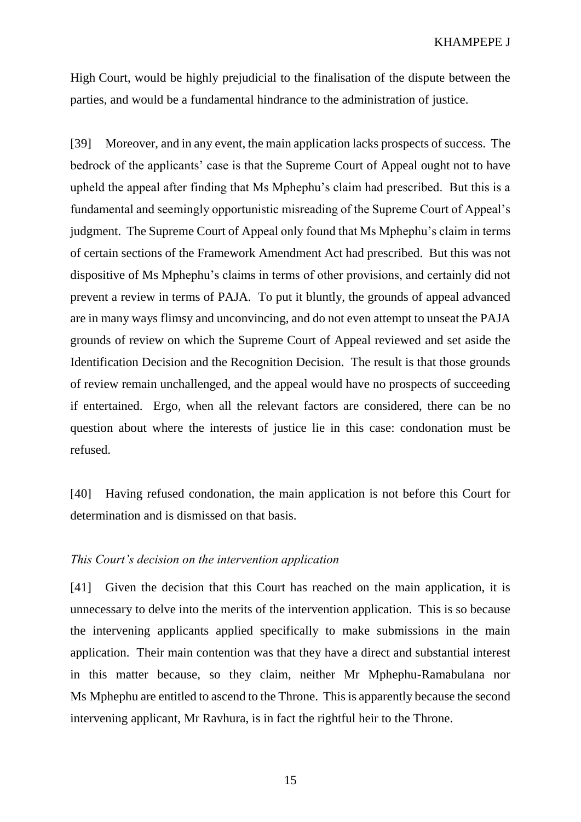High Court, would be highly prejudicial to the finalisation of the dispute between the parties, and would be a fundamental hindrance to the administration of justice.

[39] Moreover, and in any event, the main application lacks prospects of success. The bedrock of the applicants' case is that the Supreme Court of Appeal ought not to have upheld the appeal after finding that Ms Mphephu's claim had prescribed. But this is a fundamental and seemingly opportunistic misreading of the Supreme Court of Appeal's judgment. The Supreme Court of Appeal only found that Ms Mphephu's claim in terms of certain sections of the Framework Amendment Act had prescribed. But this was not dispositive of Ms Mphephu's claims in terms of other provisions, and certainly did not prevent a review in terms of PAJA. To put it bluntly, the grounds of appeal advanced are in many ways flimsy and unconvincing, and do not even attempt to unseat the PAJA grounds of review on which the Supreme Court of Appeal reviewed and set aside the Identification Decision and the Recognition Decision. The result is that those grounds of review remain unchallenged, and the appeal would have no prospects of succeeding if entertained. Ergo, when all the relevant factors are considered, there can be no question about where the interests of justice lie in this case: condonation must be refused.

[40] Having refused condonation, the main application is not before this Court for determination and is dismissed on that basis.

### *This Court's decision on the intervention application*

[41] Given the decision that this Court has reached on the main application, it is unnecessary to delve into the merits of the intervention application. This is so because the intervening applicants applied specifically to make submissions in the main application. Their main contention was that they have a direct and substantial interest in this matter because, so they claim, neither Mr Mphephu-Ramabulana nor Ms Mphephu are entitled to ascend to the Throne. This is apparently because the second intervening applicant, Mr Ravhura, is in fact the rightful heir to the Throne.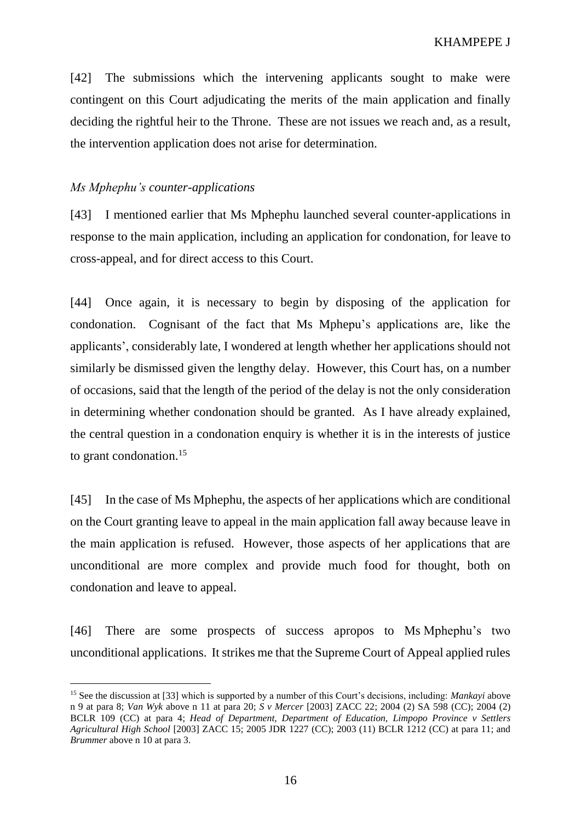[42] The submissions which the intervening applicants sought to make were contingent on this Court adjudicating the merits of the main application and finally deciding the rightful heir to the Throne. These are not issues we reach and, as a result, the intervention application does not arise for determination.

#### *Ms Mphephu's counter-applications*

 $\overline{a}$ 

[43] I mentioned earlier that Ms Mphephu launched several counter-applications in response to the main application, including an application for condonation, for leave to cross-appeal, and for direct access to this Court.

[44] Once again, it is necessary to begin by disposing of the application for condonation. Cognisant of the fact that Ms Mphepu's applications are, like the applicants', considerably late, I wondered at length whether her applications should not similarly be dismissed given the lengthy delay. However, this Court has, on a number of occasions, said that the length of the period of the delay is not the only consideration in determining whether condonation should be granted. As I have already explained, the central question in a condonation enquiry is whether it is in the interests of justice to grant condonation.<sup>15</sup>

[45] In the case of Ms Mphephu, the aspects of her applications which are conditional on the Court granting leave to appeal in the main application fall away because leave in the main application is refused. However, those aspects of her applications that are unconditional are more complex and provide much food for thought, both on condonation and leave to appeal.

[46] There are some prospects of success apropos to Ms Mphephu's two unconditional applications. It strikes me that the Supreme Court of Appeal applied rules

<sup>15</sup> See the discussion at [\[33\]](#page-11-2) which is supported by a number of this Court's decisions, including: *Mankayi* above n [9](#page-11-1) at para 8; *Van Wyk* above n [11](#page-11-3) at para 20; *S v Mercer* [2003] ZACC 22; 2004 (2) SA 598 (CC); 2004 (2) BCLR 109 (CC) at para 4; *Head of Department, Department of Education, Limpopo Province v Settlers Agricultural High School* [2003] ZACC 15; 2005 JDR 1227 (CC); 2003 (11) BCLR 1212 (CC) at para 11; and *Brummer* above n [10](#page-11-0) at para 3.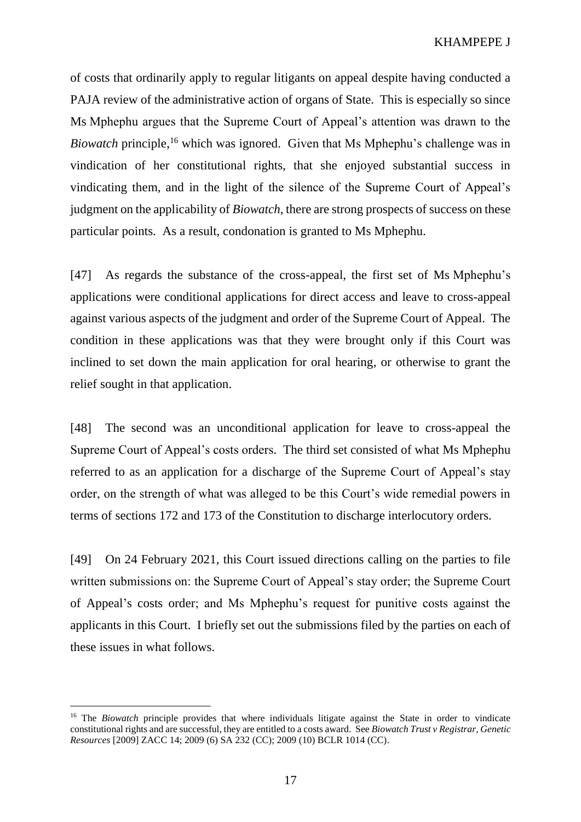KHAMPEPE J

<span id="page-16-0"></span>of costs that ordinarily apply to regular litigants on appeal despite having conducted a PAJA review of the administrative action of organs of State. This is especially so since Ms Mphephu argues that the Supreme Court of Appeal's attention was drawn to the Biowatch principle,<sup>16</sup> which was ignored. Given that Ms Mphephu's challenge was in vindication of her constitutional rights, that she enjoyed substantial success in vindicating them, and in the light of the silence of the Supreme Court of Appeal's judgment on the applicability of *Biowatch*, there are strong prospects of success on these particular points. As a result, condonation is granted to Ms Mphephu.

[47] As regards the substance of the cross-appeal, the first set of Ms Mphephu's applications were conditional applications for direct access and leave to cross-appeal against various aspects of the judgment and order of the Supreme Court of Appeal. The condition in these applications was that they were brought only if this Court was inclined to set down the main application for oral hearing, or otherwise to grant the relief sought in that application.

[48] The second was an unconditional application for leave to cross-appeal the Supreme Court of Appeal's costs orders. The third set consisted of what Ms Mphephu referred to as an application for a discharge of the Supreme Court of Appeal's stay order, on the strength of what was alleged to be this Court's wide remedial powers in terms of sections 172 and 173 of the Constitution to discharge interlocutory orders.

[49] On 24 February 2021, this Court issued directions calling on the parties to file written submissions on: the Supreme Court of Appeal's stay order; the Supreme Court of Appeal's costs order; and Ms Mphephu's request for punitive costs against the applicants in this Court. I briefly set out the submissions filed by the parties on each of these issues in what follows.

<sup>&</sup>lt;sup>16</sup> The *Biowatch* principle provides that where individuals litigate against the State in order to vindicate constitutional rights and are successful, they are entitled to a costs award. See *Biowatch Trust v Registrar, Genetic Resources* [2009] ZACC 14; 2009 (6) SA 232 (CC); 2009 (10) BCLR 1014 (CC).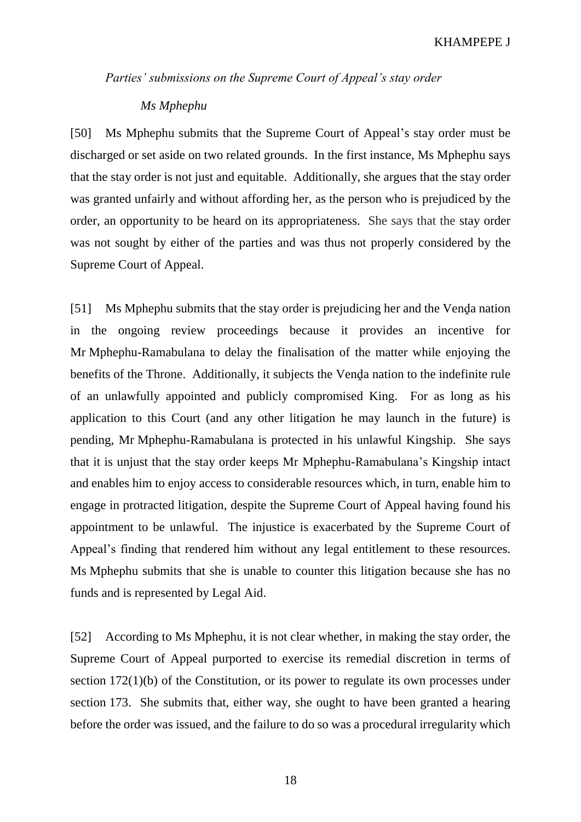*Parties' submissions on the Supreme Court of Appeal's stay order*

## *Ms Mphephu*

[50] Ms Mphephu submits that the Supreme Court of Appeal's stay order must be discharged or set aside on two related grounds. In the first instance, Ms Mphephu says that the stay order is not just and equitable. Additionally, she argues that the stay order was granted unfairly and without affording her, as the person who is prejudiced by the order, an opportunity to be heard on its appropriateness. She says that the stay order was not sought by either of the parties and was thus not properly considered by the Supreme Court of Appeal.

[51] Ms Mphephu submits that the stay order is prejudicing her and the Venda nation in the ongoing review proceedings because it provides an incentive for Mr Mphephu-Ramabulana to delay the finalisation of the matter while enjoying the benefits of the Throne. Additionally, it subjects the Venda nation to the indefinite rule of an unlawfully appointed and publicly compromised King. For as long as his application to this Court (and any other litigation he may launch in the future) is pending, Mr Mphephu-Ramabulana is protected in his unlawful Kingship. She says that it is unjust that the stay order keeps Mr Mphephu-Ramabulana's Kingship intact and enables him to enjoy access to considerable resources which, in turn, enable him to engage in protracted litigation, despite the Supreme Court of Appeal having found his appointment to be unlawful. The injustice is exacerbated by the Supreme Court of Appeal's finding that rendered him without any legal entitlement to these resources. Ms Mphephu submits that she is unable to counter this litigation because she has no funds and is represented by Legal Aid.

[52] According to Ms Mphephu, it is not clear whether, in making the stay order, the Supreme Court of Appeal purported to exercise its remedial discretion in terms of section 172(1)(b) of the Constitution, or its power to regulate its own processes under section 173. She submits that, either way, she ought to have been granted a hearing before the order was issued, and the failure to do so was a procedural irregularity which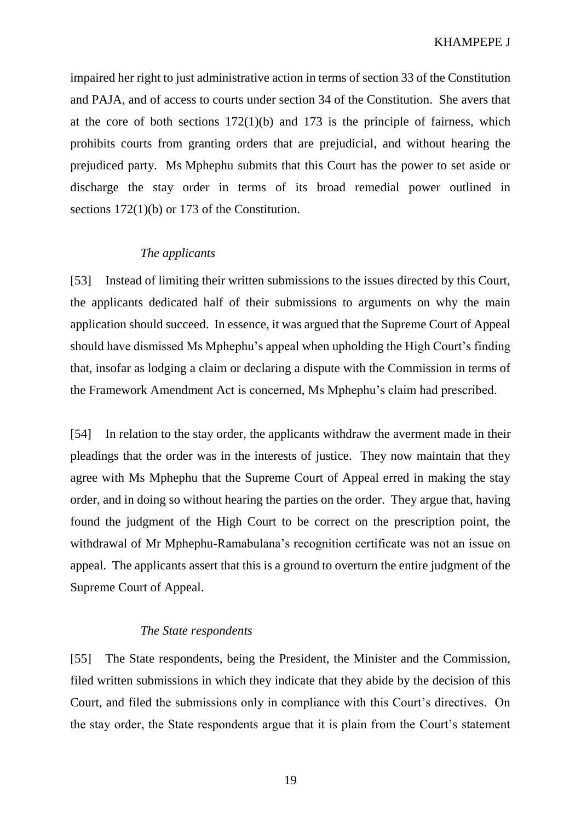impaired her right to just administrative action in terms of section 33 of the Constitution and PAJA, and of access to courts under section 34 of the Constitution. She avers that at the core of both sections  $172(1)(b)$  and  $173$  is the principle of fairness, which prohibits courts from granting orders that are prejudicial, and without hearing the prejudiced party. Ms Mphephu submits that this Court has the power to set aside or discharge the stay order in terms of its broad remedial power outlined in sections 172(1)(b) or 173 of the Constitution.

## *The applicants*

[53] Instead of limiting their written submissions to the issues directed by this Court, the applicants dedicated half of their submissions to arguments on why the main application should succeed. In essence, it was argued that the Supreme Court of Appeal should have dismissed Ms Mphephu's appeal when upholding the High Court's finding that, insofar as lodging a claim or declaring a dispute with the Commission in terms of the Framework Amendment Act is concerned, Ms Mphephu's claim had prescribed.

[54] In relation to the stay order, the applicants withdraw the averment made in their pleadings that the order was in the interests of justice. They now maintain that they agree with Ms Mphephu that the Supreme Court of Appeal erred in making the stay order, and in doing so without hearing the parties on the order. They argue that, having found the judgment of the High Court to be correct on the prescription point, the withdrawal of Mr Mphephu-Ramabulana's recognition certificate was not an issue on appeal. The applicants assert that this is a ground to overturn the entire judgment of the Supreme Court of Appeal.

## *The State respondents*

[55] The State respondents, being the President, the Minister and the Commission, filed written submissions in which they indicate that they abide by the decision of this Court, and filed the submissions only in compliance with this Court's directives. On the stay order, the State respondents argue that it is plain from the Court's statement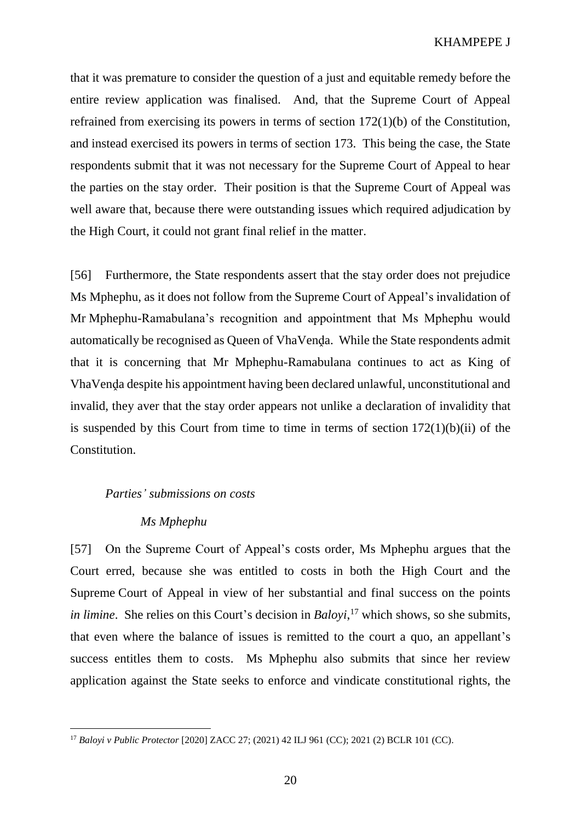that it was premature to consider the question of a just and equitable remedy before the entire review application was finalised. And, that the Supreme Court of Appeal refrained from exercising its powers in terms of section 172(1)(b) of the Constitution, and instead exercised its powers in terms of section 173. This being the case, the State respondents submit that it was not necessary for the Supreme Court of Appeal to hear the parties on the stay order. Their position is that the Supreme Court of Appeal was well aware that, because there were outstanding issues which required adjudication by the High Court, it could not grant final relief in the matter.

[56] Furthermore, the State respondents assert that the stay order does not prejudice Ms Mphephu, as it does not follow from the Supreme Court of Appeal's invalidation of Mr Mphephu-Ramabulana's recognition and appointment that Ms Mphephu would automatically be recognised as Queen of VhaVenḍa. While the State respondents admit that it is concerning that Mr Mphephu-Ramabulana continues to act as King of VhaVenḓa despite his appointment having been declared unlawful, unconstitutional and invalid, they aver that the stay order appears not unlike a declaration of invalidity that is suspended by this Court from time to time in terms of section  $172(1)(b)(ii)$  of the Constitution.

#### *Parties' submissions on costs*

### *Ms Mphephu*

 $\overline{a}$ 

[57] On the Supreme Court of Appeal's costs order, Ms Mphephu argues that the Court erred, because she was entitled to costs in both the High Court and the Supreme Court of Appeal in view of her substantial and final success on the points *in limine*. She relies on this Court's decision in *Baloyi*, <sup>17</sup> which shows, so she submits, that even where the balance of issues is remitted to the court a quo, an appellant's success entitles them to costs. Ms Mphephu also submits that since her review application against the State seeks to enforce and vindicate constitutional rights, the

<sup>17</sup> *Baloyi v Public Protector* [2020] ZACC 27; (2021) 42 ILJ 961 (CC); 2021 (2) BCLR 101 (CC).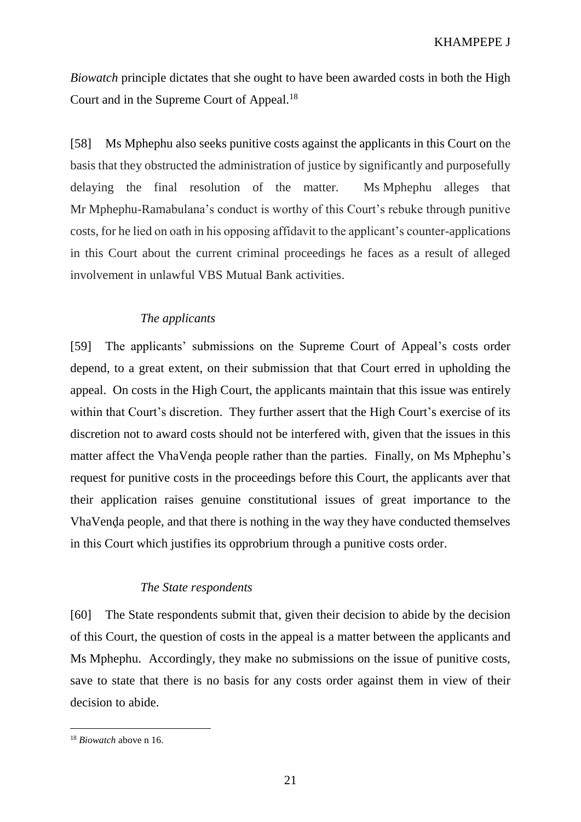*Biowatch* principle dictates that she ought to have been awarded costs in both the High Court and in the Supreme Court of Appeal.<sup>18</sup>

[58] Ms Mphephu also seeks punitive costs against the applicants in this Court on the basis that they obstructed the administration of justice by significantly and purposefully delaying the final resolution of the matter. Ms Mphephu alleges that Mr Mphephu-Ramabulana's conduct is worthy of this Court's rebuke through punitive costs, for he lied on oath in his opposing affidavit to the applicant's counter-applications in this Court about the current criminal proceedings he faces as a result of alleged involvement in unlawful VBS Mutual Bank activities.

# *The applicants*

[59] The applicants' submissions on the Supreme Court of Appeal's costs order depend, to a great extent, on their submission that that Court erred in upholding the appeal. On costs in the High Court, the applicants maintain that this issue was entirely within that Court's discretion. They further assert that the High Court's exercise of its discretion not to award costs should not be interfered with, given that the issues in this matter affect the VhaVenda people rather than the parties. Finally, on Ms Mphephu's request for punitive costs in the proceedings before this Court, the applicants aver that their application raises genuine constitutional issues of great importance to the VhaVenḓa people, and that there is nothing in the way they have conducted themselves in this Court which justifies its opprobrium through a punitive costs order.

## *The State respondents*

[60] The State respondents submit that, given their decision to abide by the decision of this Court, the question of costs in the appeal is a matter between the applicants and Ms Mphephu. Accordingly, they make no submissions on the issue of punitive costs, save to state that there is no basis for any costs order against them in view of their decision to abide.

<sup>18</sup> *Biowatch* above n [16.](#page-16-0)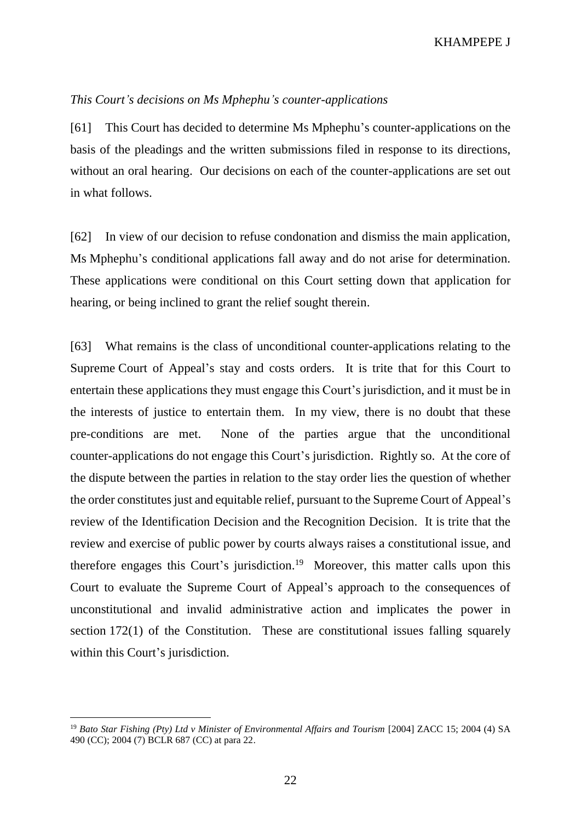## *This Court's decisions on Ms Mphephu's counter-applications*

[61] This Court has decided to determine Ms Mphephu's counter-applications on the basis of the pleadings and the written submissions filed in response to its directions, without an oral hearing. Our decisions on each of the counter-applications are set out in what follows.

[62] In view of our decision to refuse condonation and dismiss the main application, Ms Mphephu's conditional applications fall away and do not arise for determination. These applications were conditional on this Court setting down that application for hearing, or being inclined to grant the relief sought therein.

[63] What remains is the class of unconditional counter-applications relating to the Supreme Court of Appeal's stay and costs orders. It is trite that for this Court to entertain these applications they must engage this Court's jurisdiction, and it must be in the interests of justice to entertain them. In my view, there is no doubt that these pre-conditions are met. None of the parties argue that the unconditional counter-applications do not engage this Court's jurisdiction. Rightly so. At the core of the dispute between the parties in relation to the stay order lies the question of whether the order constitutes just and equitable relief, pursuant to the Supreme Court of Appeal's review of the Identification Decision and the Recognition Decision. It is trite that the review and exercise of public power by courts always raises a constitutional issue, and therefore engages this Court's jurisdiction.<sup>19</sup> Moreover, this matter calls upon this Court to evaluate the Supreme Court of Appeal's approach to the consequences of unconstitutional and invalid administrative action and implicates the power in section 172(1) of the Constitution. These are constitutional issues falling squarely within this Court's jurisdiction.

<sup>19</sup> *Bato Star Fishing (Pty) Ltd v Minister of Environmental Affairs and Tourism* [2004] ZACC 15; 2004 (4) SA 490 (CC); 2004 (7) BCLR 687 (CC) at para 22.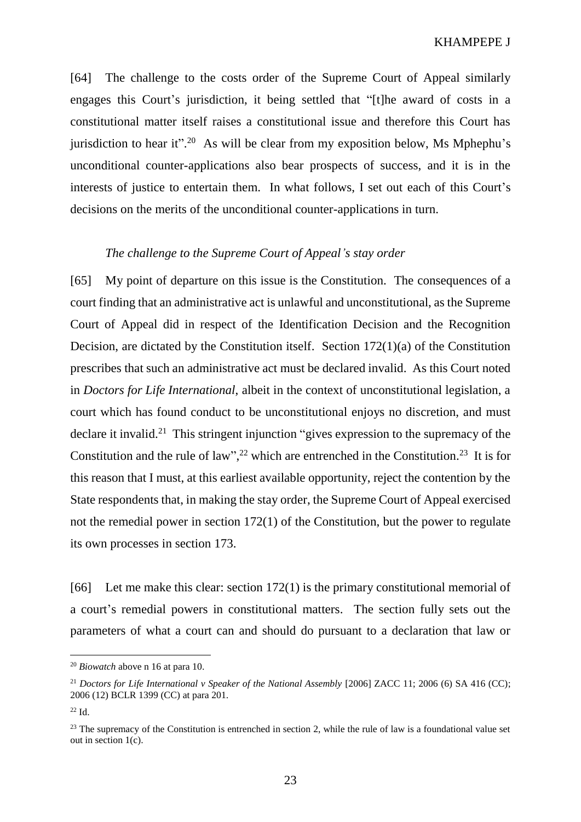[64] The challenge to the costs order of the Supreme Court of Appeal similarly engages this Court's jurisdiction, it being settled that "[t]he award of costs in a constitutional matter itself raises a constitutional issue and therefore this Court has jurisdiction to hear it".<sup>20</sup> As will be clear from my exposition below, Ms Mphephu's unconditional counter-applications also bear prospects of success, and it is in the interests of justice to entertain them. In what follows, I set out each of this Court's decisions on the merits of the unconditional counter-applications in turn.

## *The challenge to the Supreme Court of Appeal's stay order*

[65] My point of departure on this issue is the Constitution. The consequences of a court finding that an administrative act is unlawful and unconstitutional, as the Supreme Court of Appeal did in respect of the Identification Decision and the Recognition Decision, are dictated by the Constitution itself. Section 172(1)(a) of the Constitution prescribes that such an administrative act must be declared invalid. As this Court noted in *Doctors for Life International*, albeit in the context of unconstitutional legislation, a court which has found conduct to be unconstitutional enjoys no discretion, and must declare it invalid.<sup>21</sup> This stringent injunction "gives expression to the supremacy of the Constitution and the rule of law",<sup>22</sup> which are entrenched in the Constitution.<sup>23</sup> It is for this reason that I must, at this earliest available opportunity, reject the contention by the State respondents that, in making the stay order, the Supreme Court of Appeal exercised not the remedial power in section 172(1) of the Constitution, but the power to regulate its own processes in section 173.

[66] Let me make this clear: section 172(1) is the primary constitutional memorial of a court's remedial powers in constitutional matters. The section fully sets out the parameters of what a court can and should do pursuant to a declaration that law or

<sup>20</sup> *Biowatch* above n [16](#page-16-0) at para 10.

<sup>&</sup>lt;sup>21</sup> Doctors for Life International v Speaker of the National Assembly [2006] ZACC 11; 2006 (6) SA 416 (CC); 2006 (12) BCLR 1399 (CC) at para 201.

 $22$  Id.

 $23$  The supremacy of the Constitution is entrenched in section 2, while the rule of law is a foundational value set out in section 1(c).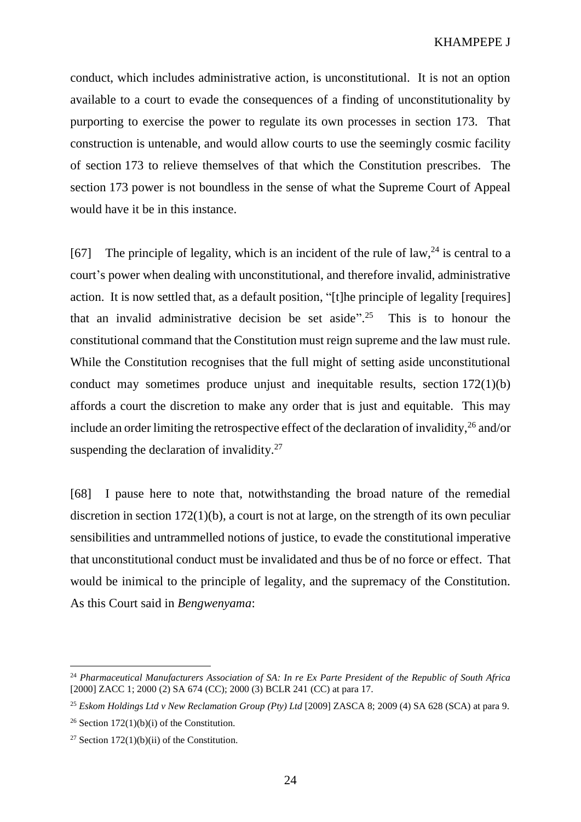conduct, which includes administrative action, is unconstitutional. It is not an option available to a court to evade the consequences of a finding of unconstitutionality by purporting to exercise the power to regulate its own processes in section 173. That construction is untenable, and would allow courts to use the seemingly cosmic facility of section 173 to relieve themselves of that which the Constitution prescribes. The section 173 power is not boundless in the sense of what the Supreme Court of Appeal would have it be in this instance.

[67] The principle of legality, which is an incident of the rule of law,  $24$  is central to a court's power when dealing with unconstitutional, and therefore invalid, administrative action. It is now settled that, as a default position, "[t]he principle of legality [requires] that an invalid administrative decision be set aside". <sup>25</sup> This is to honour the constitutional command that the Constitution must reign supreme and the law must rule. While the Constitution recognises that the full might of setting aside unconstitutional conduct may sometimes produce unjust and inequitable results, section 172(1)(b) affords a court the discretion to make any order that is just and equitable. This may include an order limiting the retrospective effect of the declaration of invalidity,  $26$  and/or suspending the declaration of invalidity.<sup>27</sup>

[68] I pause here to note that, notwithstanding the broad nature of the remedial discretion in section 172(1)(b), a court is not at large, on the strength of its own peculiar sensibilities and untrammelled notions of justice, to evade the constitutional imperative that unconstitutional conduct must be invalidated and thus be of no force or effect. That would be inimical to the principle of legality, and the supremacy of the Constitution. As this Court said in *Bengwenyama*:

<sup>24</sup> *Pharmaceutical Manufacturers Association of SA: In re Ex Parte President of the Republic of South Africa*  [2000] ZACC 1; 2000 (2) SA 674 (CC); 2000 (3) BCLR 241 (CC) at para 17.

<sup>25</sup> *Eskom Holdings Ltd v New Reclamation Group (Pty) Ltd* [2009] ZASCA 8; 2009 (4) SA 628 (SCA) at para 9.

<sup>&</sup>lt;sup>26</sup> Section 172(1)(b)(i) of the Constitution.

<sup>&</sup>lt;sup>27</sup> Section  $172(1)(b)(ii)$  of the Constitution.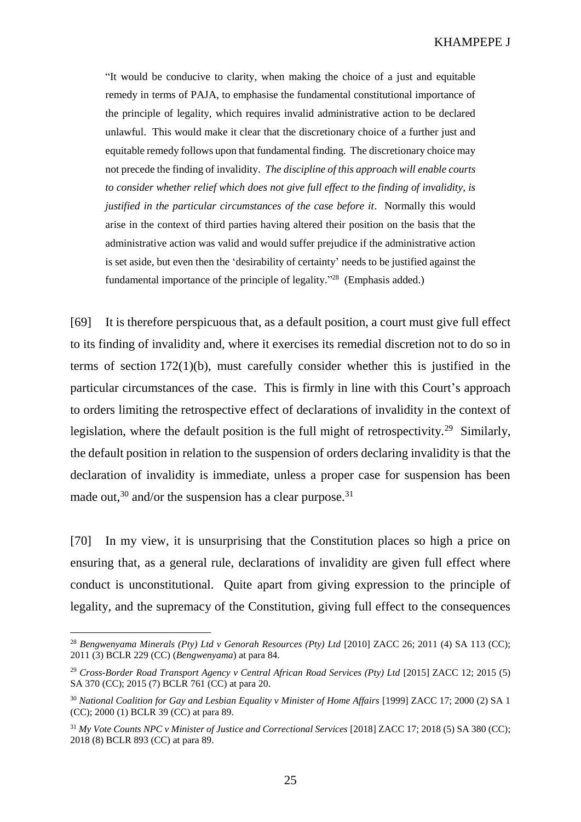"It would be conducive to clarity, when making the choice of a just and equitable remedy in terms of PAJA, to emphasise the fundamental constitutional importance of the principle of legality, which requires invalid administrative action to be declared unlawful. This would make it clear that the discretionary choice of a further just and equitable remedy follows upon that fundamental finding. The discretionary choice may not precede the finding of invalidity. *The discipline of this approach will enable courts to consider whether relief which does not give full effect to the finding of invalidity, is justified in the particular circumstances of the case before it*. Normally this would arise in the context of third parties having altered their position on the basis that the administrative action was valid and would suffer prejudice if the administrative action is set aside, but even then the 'desirability of certainty' needs to be justified against the fundamental importance of the principle of legality."<sup>28</sup> (Emphasis added.)

[69] It is therefore perspicuous that, as a default position, a court must give full effect to its finding of invalidity and, where it exercises its remedial discretion not to do so in terms of section 172(1)(b), must carefully consider whether this is justified in the particular circumstances of the case. This is firmly in line with this Court's approach to orders limiting the retrospective effect of declarations of invalidity in the context of legislation, where the default position is the full might of retrospectivity.<sup>29</sup> Similarly, the default position in relation to the suspension of orders declaring invalidity is that the declaration of invalidity is immediate, unless a proper case for suspension has been made out,  $30$  and/or the suspension has a clear purpose.  $31$ 

[70] In my view, it is unsurprising that the Constitution places so high a price on ensuring that, as a general rule, declarations of invalidity are given full effect where conduct is unconstitutional. Quite apart from giving expression to the principle of legality, and the supremacy of the Constitution, giving full effect to the consequences

<sup>28</sup> *Bengwenyama Minerals (Pty) Ltd v Genorah Resources (Pty) Ltd* [2010] ZACC 26; 2011 (4) SA 113 (CC); 2011 (3) BCLR 229 (CC) (*Bengwenyama*) at para 84.

<sup>29</sup> *Cross-Border Road Transport Agency v Central African Road Services (Pty) Ltd* [2015] ZACC 12; 2015 (5) SA 370 (CC); 2015 (7) BCLR 761 (CC) at para 20.

<sup>30</sup> *National Coalition for Gay and Lesbian Equality v Minister of Home Affairs* [1999] ZACC 17; 2000 (2) SA 1 (CC); 2000 (1) BCLR 39 (CC) at para 89.

<sup>31</sup> *My Vote Counts NPC v Minister of Justice and Correctional Services* [2018] ZACC 17; 2018 (5) SA 380 (CC); 2018 (8) BCLR 893 (CC) at para 89.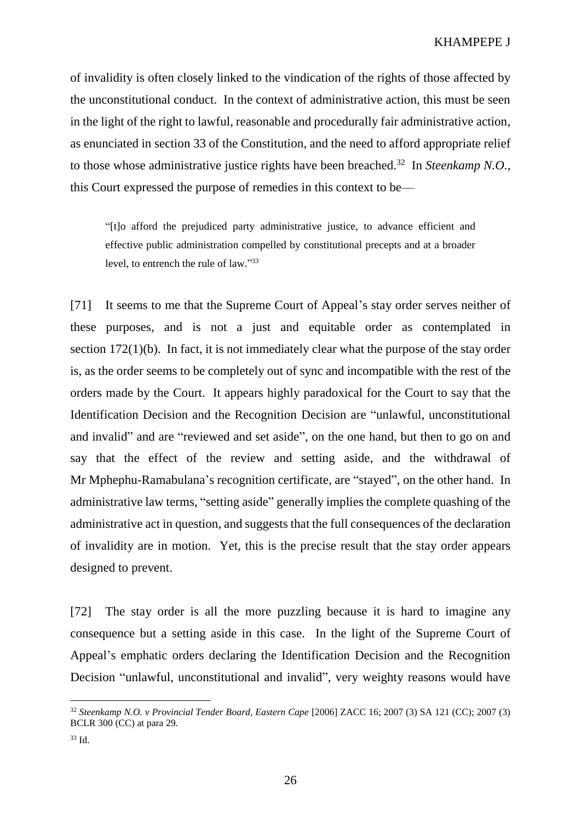of invalidity is often closely linked to the vindication of the rights of those affected by the unconstitutional conduct. In the context of administrative action, this must be seen in the light of the right to lawful, reasonable and procedurally fair administrative action, as enunciated in section 33 of the Constitution, and the need to afford appropriate relief to those whose administrative justice rights have been breached.<sup>32</sup> In *Steenkamp N.O.*, this Court expressed the purpose of remedies in this context to be—

"[t]o afford the prejudiced party administrative justice, to advance efficient and effective public administration compelled by constitutional precepts and at a broader level, to entrench the rule of law." 33

[71] It seems to me that the Supreme Court of Appeal's stay order serves neither of these purposes, and is not a just and equitable order as contemplated in section 172(1)(b). In fact, it is not immediately clear what the purpose of the stay order is, as the order seems to be completely out of sync and incompatible with the rest of the orders made by the Court. It appears highly paradoxical for the Court to say that the Identification Decision and the Recognition Decision are "unlawful, unconstitutional and invalid" and are "reviewed and set aside", on the one hand, but then to go on and say that the effect of the review and setting aside, and the withdrawal of Mr Mphephu-Ramabulana's recognition certificate, are "stayed", on the other hand. In administrative law terms, "setting aside" generally implies the complete quashing of the administrative act in question, and suggests that the full consequences of the declaration of invalidity are in motion. Yet, this is the precise result that the stay order appears designed to prevent.

[72] The stay order is all the more puzzling because it is hard to imagine any consequence but a setting aside in this case. In the light of the Supreme Court of Appeal's emphatic orders declaring the Identification Decision and the Recognition Decision "unlawful, unconstitutional and invalid", very weighty reasons would have

<sup>32</sup> *Steenkamp N.O. v Provincial Tender Board, Eastern Cape* [2006] ZACC 16; 2007 (3) SA 121 (CC); 2007 (3) BCLR 300 (CC) at para 29.

<sup>33</sup> Id.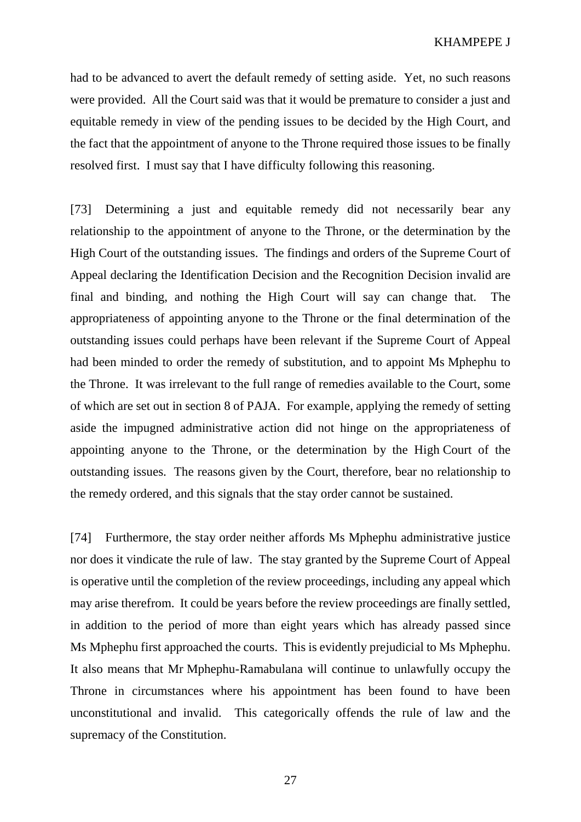had to be advanced to avert the default remedy of setting aside. Yet, no such reasons were provided. All the Court said was that it would be premature to consider a just and equitable remedy in view of the pending issues to be decided by the High Court, and the fact that the appointment of anyone to the Throne required those issues to be finally resolved first. I must say that I have difficulty following this reasoning.

[73] Determining a just and equitable remedy did not necessarily bear any relationship to the appointment of anyone to the Throne, or the determination by the High Court of the outstanding issues. The findings and orders of the Supreme Court of Appeal declaring the Identification Decision and the Recognition Decision invalid are final and binding, and nothing the High Court will say can change that. The appropriateness of appointing anyone to the Throne or the final determination of the outstanding issues could perhaps have been relevant if the Supreme Court of Appeal had been minded to order the remedy of substitution, and to appoint Ms Mphephu to the Throne. It was irrelevant to the full range of remedies available to the Court, some of which are set out in section 8 of PAJA. For example, applying the remedy of setting aside the impugned administrative action did not hinge on the appropriateness of appointing anyone to the Throne, or the determination by the High Court of the outstanding issues. The reasons given by the Court, therefore, bear no relationship to the remedy ordered, and this signals that the stay order cannot be sustained.

[74] Furthermore, the stay order neither affords Ms Mphephu administrative justice nor does it vindicate the rule of law. The stay granted by the Supreme Court of Appeal is operative until the completion of the review proceedings, including any appeal which may arise therefrom. It could be years before the review proceedings are finally settled, in addition to the period of more than eight years which has already passed since Ms Mphephu first approached the courts. This is evidently prejudicial to Ms Mphephu. It also means that Mr Mphephu-Ramabulana will continue to unlawfully occupy the Throne in circumstances where his appointment has been found to have been unconstitutional and invalid. This categorically offends the rule of law and the supremacy of the Constitution.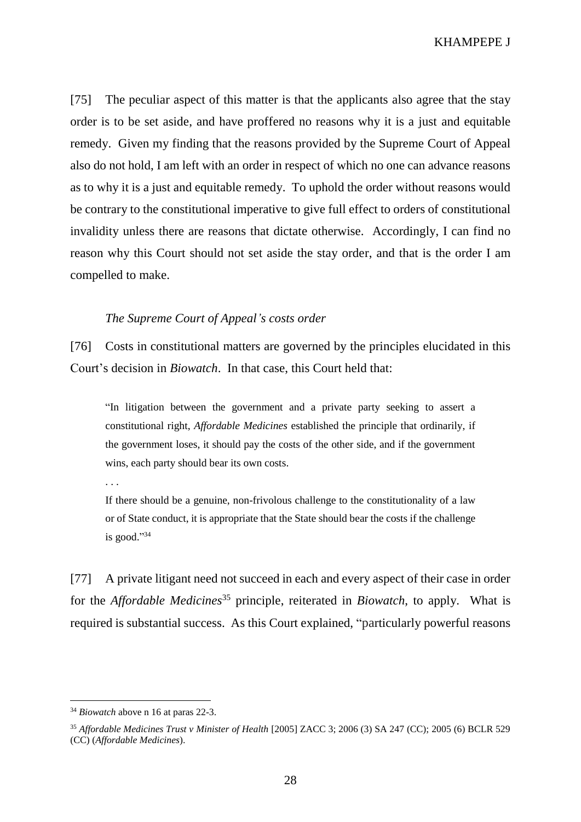KHAMPEPE J

[75] The peculiar aspect of this matter is that the applicants also agree that the stay order is to be set aside, and have proffered no reasons why it is a just and equitable remedy. Given my finding that the reasons provided by the Supreme Court of Appeal also do not hold, I am left with an order in respect of which no one can advance reasons as to why it is a just and equitable remedy. To uphold the order without reasons would be contrary to the constitutional imperative to give full effect to orders of constitutional invalidity unless there are reasons that dictate otherwise. Accordingly, I can find no reason why this Court should not set aside the stay order, and that is the order I am compelled to make.

## *The Supreme Court of Appeal's costs order*

[76] Costs in constitutional matters are governed by the principles elucidated in this Court's decision in *Biowatch*. In that case, this Court held that:

"In litigation between the government and a private party seeking to assert a constitutional right, *Affordable Medicines* established the principle that ordinarily, if the government loses, it should pay the costs of the other side, and if the government wins, each party should bear its own costs.

. . .

If there should be a genuine, non-frivolous challenge to the constitutionality of a law or of State conduct, it is appropriate that the State should bear the costs if the challenge is good." 34

[77] A private litigant need not succeed in each and every aspect of their case in order for the *Affordable Medicines*<sup>35</sup> principle, reiterated in *Biowatch*, to apply. What is required is substantial success. As this Court explained, "particularly powerful reasons

<sup>34</sup> *Biowatch* above n [16](#page-16-0) at paras 22-3.

<sup>35</sup> *Affordable Medicines Trust v Minister of Health* [2005] ZACC 3; 2006 (3) SA 247 (CC); 2005 (6) BCLR 529 (CC) (*Affordable Medicines*).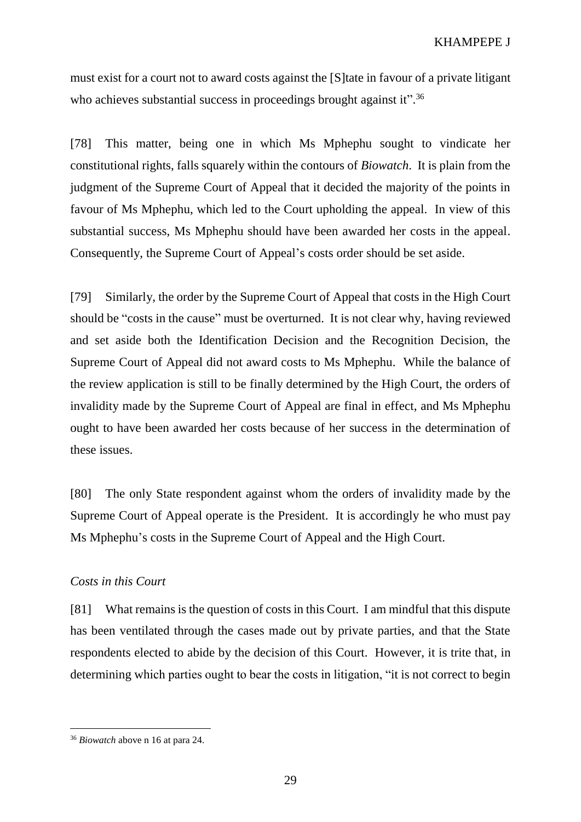must exist for a court not to award costs against the [S]tate in favour of a private litigant who achieves substantial success in proceedings brought against it".<sup>36</sup>

[78] This matter, being one in which Ms Mphephu sought to vindicate her constitutional rights, falls squarely within the contours of *Biowatch*. It is plain from the judgment of the Supreme Court of Appeal that it decided the majority of the points in favour of Ms Mphephu, which led to the Court upholding the appeal. In view of this substantial success, Ms Mphephu should have been awarded her costs in the appeal. Consequently, the Supreme Court of Appeal's costs order should be set aside.

[79] Similarly, the order by the Supreme Court of Appeal that costs in the High Court should be "costs in the cause" must be overturned. It is not clear why, having reviewed and set aside both the Identification Decision and the Recognition Decision, the Supreme Court of Appeal did not award costs to Ms Mphephu. While the balance of the review application is still to be finally determined by the High Court, the orders of invalidity made by the Supreme Court of Appeal are final in effect, and Ms Mphephu ought to have been awarded her costs because of her success in the determination of these issues.

[80] The only State respondent against whom the orders of invalidity made by the Supreme Court of Appeal operate is the President. It is accordingly he who must pay Ms Mphephu's costs in the Supreme Court of Appeal and the High Court.

## *Costs in this Court*

[81] What remains is the question of costs in this Court. I am mindful that this dispute has been ventilated through the cases made out by private parties, and that the State respondents elected to abide by the decision of this Court. However, it is trite that, in determining which parties ought to bear the costs in litigation, "it is not correct to begin

<sup>36</sup> *Biowatch* above n [16](#page-16-0) at para 24.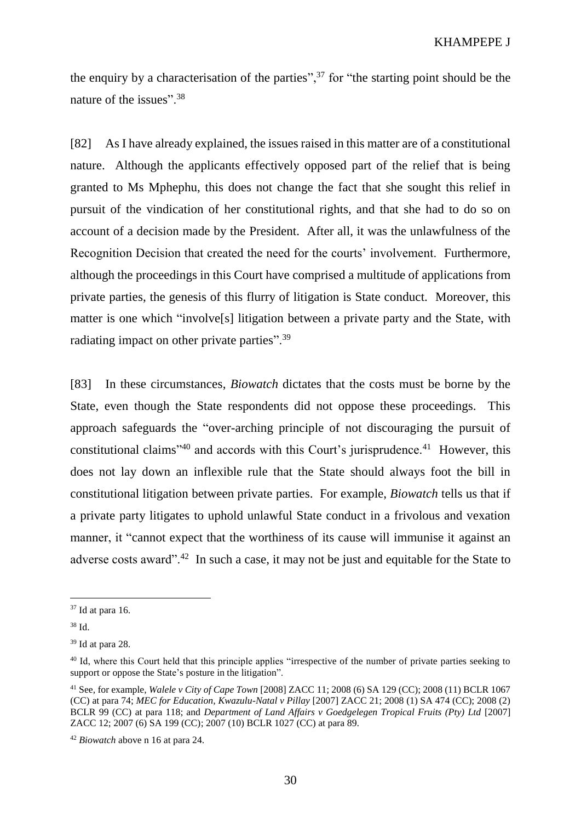the enquiry by a characterisation of the parties",<sup>37</sup> for "the starting point should be the nature of the issues".<sup>38</sup>

[82] As I have already explained, the issues raised in this matter are of a constitutional nature. Although the applicants effectively opposed part of the relief that is being granted to Ms Mphephu, this does not change the fact that she sought this relief in pursuit of the vindication of her constitutional rights, and that she had to do so on account of a decision made by the President. After all, it was the unlawfulness of the Recognition Decision that created the need for the courts' involvement. Furthermore, although the proceedings in this Court have comprised a multitude of applications from private parties, the genesis of this flurry of litigation is State conduct. Moreover, this matter is one which "involve[s] litigation between a private party and the State, with radiating impact on other private parties".<sup>39</sup>

[83] In these circumstances, *Biowatch* dictates that the costs must be borne by the State, even though the State respondents did not oppose these proceedings. This approach safeguards the "over-arching principle of not discouraging the pursuit of constitutional claims<sup> $140$ </sup> and accords with this Court's jurisprudence.<sup>41</sup> However, this does not lay down an inflexible rule that the State should always foot the bill in constitutional litigation between private parties. For example, *Biowatch* tells us that if a private party litigates to uphold unlawful State conduct in a frivolous and vexation manner, it "cannot expect that the worthiness of its cause will immunise it against an adverse costs award".<sup>42</sup> In such a case, it may not be just and equitable for the State to

 $37$  Id at para 16.

<sup>38</sup> Id.

<sup>39</sup> Id at para 28.

<sup>&</sup>lt;sup>40</sup> Id, where this Court held that this principle applies "irrespective of the number of private parties seeking to support or oppose the State's posture in the litigation".

<sup>41</sup> See, for example, *Walele v City of Cape Town* [2008] ZACC 11; 2008 (6) SA 129 (CC); 2008 (11) BCLR 1067 (CC) at para 74; *MEC for Education, Kwazulu-Natal v Pillay* [2007] ZACC 21; 2008 (1) SA 474 (CC); 2008 (2) BCLR 99 (CC) at para 118; and *Department of Land Affairs v Goedgelegen Tropical Fruits (Pty) Ltd* [2007] ZACC 12; 2007 (6) SA 199 (CC); 2007 (10) BCLR 1027 (CC) at para 89.

<sup>42</sup> *Biowatch* above n [16](#page-16-0) at para 24.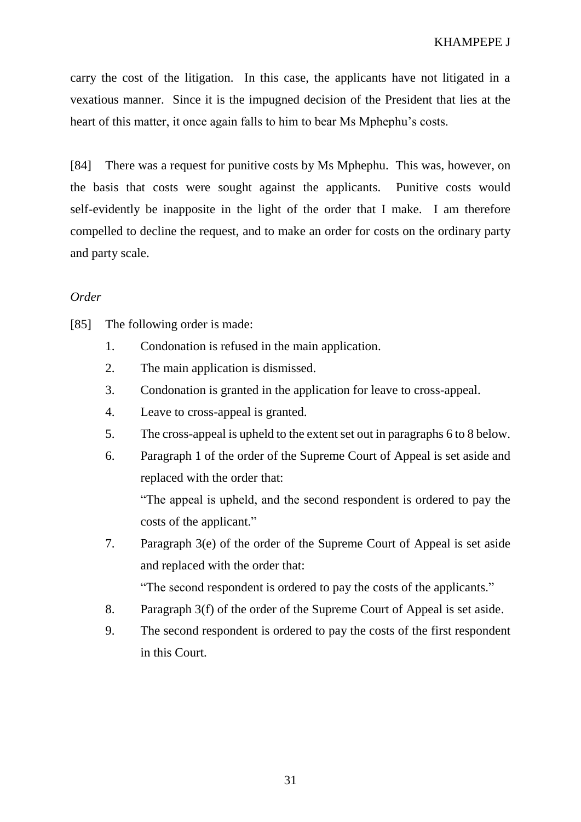carry the cost of the litigation. In this case, the applicants have not litigated in a vexatious manner. Since it is the impugned decision of the President that lies at the heart of this matter, it once again falls to him to bear Ms Mphephu's costs.

[84] There was a request for punitive costs by Ms Mphephu. This was, however, on the basis that costs were sought against the applicants. Punitive costs would self-evidently be inapposite in the light of the order that I make. I am therefore compelled to decline the request, and to make an order for costs on the ordinary party and party scale.

# *Order*

[85] The following order is made:

- 1. Condonation is refused in the main application.
- 2. The main application is dismissed.
- 3. Condonation is granted in the application for leave to cross-appeal.
- 4. Leave to cross-appeal is granted.
- 5. The cross-appeal is upheld to the extent set out in paragraphs 6 to 8 below.
- 6. Paragraph 1 of the order of the Supreme Court of Appeal is set aside and replaced with the order that:

"The appeal is upheld, and the second respondent is ordered to pay the costs of the applicant."

7. Paragraph 3(e) of the order of the Supreme Court of Appeal is set aside and replaced with the order that:

"The second respondent is ordered to pay the costs of the applicants."

- 8. Paragraph 3(f) of the order of the Supreme Court of Appeal is set aside.
- 9. The second respondent is ordered to pay the costs of the first respondent in this Court.